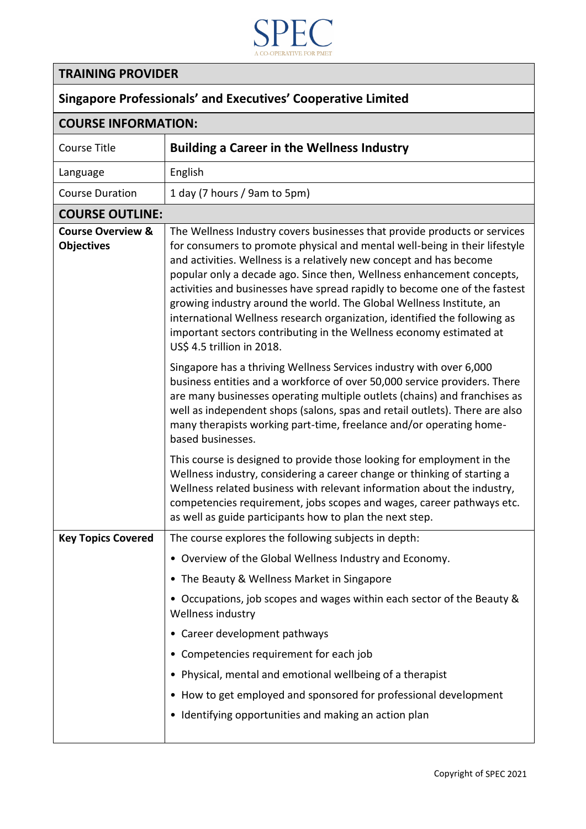

| 71 IU<br>A CO-OPERATIVE FOR PMET<br><b>TRAINING PROVIDER</b><br><b>Singapore Professionals' and Executives' Cooperative Limited</b> |                                                                                                                                                                                                                                                                                                                                                                                                                                                                                                                                                                                                                                                 |  |                            |                                                   |  |
|-------------------------------------------------------------------------------------------------------------------------------------|-------------------------------------------------------------------------------------------------------------------------------------------------------------------------------------------------------------------------------------------------------------------------------------------------------------------------------------------------------------------------------------------------------------------------------------------------------------------------------------------------------------------------------------------------------------------------------------------------------------------------------------------------|--|----------------------------|---------------------------------------------------|--|
|                                                                                                                                     |                                                                                                                                                                                                                                                                                                                                                                                                                                                                                                                                                                                                                                                 |  | <b>COURSE INFORMATION:</b> |                                                   |  |
|                                                                                                                                     |                                                                                                                                                                                                                                                                                                                                                                                                                                                                                                                                                                                                                                                 |  | Course Title               | <b>Building a Career in the Wellness Industry</b> |  |
| Language                                                                                                                            | English                                                                                                                                                                                                                                                                                                                                                                                                                                                                                                                                                                                                                                         |  |                            |                                                   |  |
| <b>Course Duration</b>                                                                                                              | 1 day (7 hours / 9am to 5pm)                                                                                                                                                                                                                                                                                                                                                                                                                                                                                                                                                                                                                    |  |                            |                                                   |  |
| <b>COURSE OUTLINE:</b>                                                                                                              |                                                                                                                                                                                                                                                                                                                                                                                                                                                                                                                                                                                                                                                 |  |                            |                                                   |  |
| <b>Course Overview &amp;</b><br><b>Objectives</b>                                                                                   | The Wellness Industry covers businesses that provide products or services<br>for consumers to promote physical and mental well-being in their lifestyle<br>and activities. Wellness is a relatively new concept and has become<br>popular only a decade ago. Since then, Wellness enhancement concepts,<br>activities and businesses have spread rapidly to become one of the fastest<br>growing industry around the world. The Global Wellness Institute, an<br>international Wellness research organization, identified the following as<br>important sectors contributing in the Wellness economy estimated at<br>US\$ 4.5 trillion in 2018. |  |                            |                                                   |  |
|                                                                                                                                     | Singapore has a thriving Wellness Services industry with over 6,000<br>business entities and a workforce of over 50,000 service providers. There<br>are many businesses operating multiple outlets (chains) and franchises as<br>well as independent shops (salons, spas and retail outlets). There are also<br>many therapists working part-time, freelance and/or operating home-<br>based businesses.                                                                                                                                                                                                                                        |  |                            |                                                   |  |
|                                                                                                                                     | This course is designed to provide those looking for employment in the<br>Wellness industry, considering a career change or thinking of starting a<br>Wellness related business with relevant information about the industry,<br>competencies requirement, jobs scopes and wages, career pathways etc.<br>as well as guide participants how to plan the next step.                                                                                                                                                                                                                                                                              |  |                            |                                                   |  |
| <b>Key Topics Covered</b>                                                                                                           | The course explores the following subjects in depth:                                                                                                                                                                                                                                                                                                                                                                                                                                                                                                                                                                                            |  |                            |                                                   |  |
|                                                                                                                                     | • Overview of the Global Wellness Industry and Economy.                                                                                                                                                                                                                                                                                                                                                                                                                                                                                                                                                                                         |  |                            |                                                   |  |
|                                                                                                                                     | • The Beauty & Wellness Market in Singapore                                                                                                                                                                                                                                                                                                                                                                                                                                                                                                                                                                                                     |  |                            |                                                   |  |
|                                                                                                                                     | • Occupations, job scopes and wages within each sector of the Beauty &                                                                                                                                                                                                                                                                                                                                                                                                                                                                                                                                                                          |  |                            |                                                   |  |

Wellness industry

• Career development pathways

• Competencies requirement for each job

• Physical, mental and emotional wellbeing of a therapist

• Identifying opportunities and making an action plan

• How to get employed and sponsored for professional development